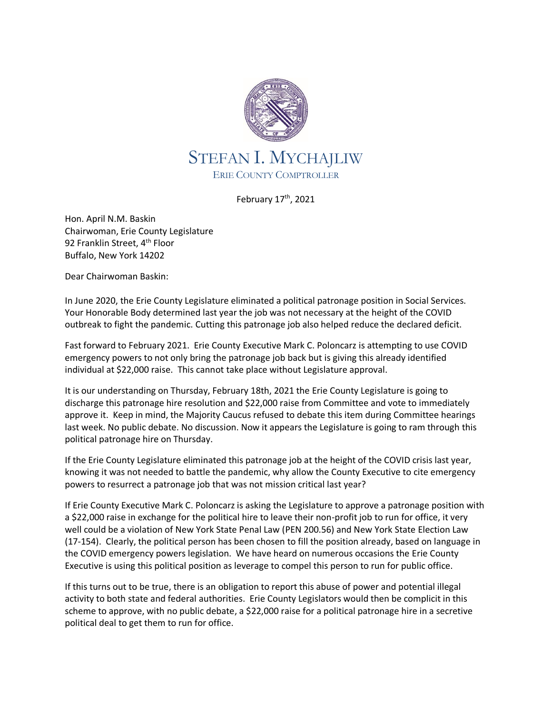

February 17<sup>th</sup>, 2021

Hon. April N.M. Baskin Chairwoman, Erie County Legislature 92 Franklin Street, 4<sup>th</sup> Floor Buffalo, New York 14202

Dear Chairwoman Baskin:

In June 2020, the Erie County Legislature eliminated a political patronage position in Social Services. Your Honorable Body determined last year the job was not necessary at the height of the COVID outbreak to fight the pandemic. Cutting this patronage job also helped reduce the declared deficit.

Fast forward to February 2021. Erie County Executive Mark C. Poloncarz is attempting to use COVID emergency powers to not only bring the patronage job back but is giving this already identified individual at \$22,000 raise. This cannot take place without Legislature approval.

It is our understanding on Thursday, February 18th, 2021 the Erie County Legislature is going to discharge this patronage hire resolution and \$22,000 raise from Committee and vote to immediately approve it. Keep in mind, the Majority Caucus refused to debate this item during Committee hearings last week. No public debate. No discussion. Now it appears the Legislature is going to ram through this political patronage hire on Thursday.

If the Erie County Legislature eliminated this patronage job at the height of the COVID crisis last year, knowing it was not needed to battle the pandemic, why allow the County Executive to cite emergency powers to resurrect a patronage job that was not mission critical last year?

If Erie County Executive Mark C. Poloncarz is asking the Legislature to approve a patronage position with a \$22,000 raise in exchange for the political hire to leave their non-profit job to run for office, it very well could be a violation of New York State Penal Law (PEN 200.56) and New York State Election Law (17-154). Clearly, the political person has been chosen to fill the position already, based on language in the COVID emergency powers legislation. We have heard on numerous occasions the Erie County Executive is using this political position as leverage to compel this person to run for public office.

If this turns out to be true, there is an obligation to report this abuse of power and potential illegal activity to both state and federal authorities. Erie County Legislators would then be complicit in this scheme to approve, with no public debate, a \$22,000 raise for a political patronage hire in a secretive political deal to get them to run for office.